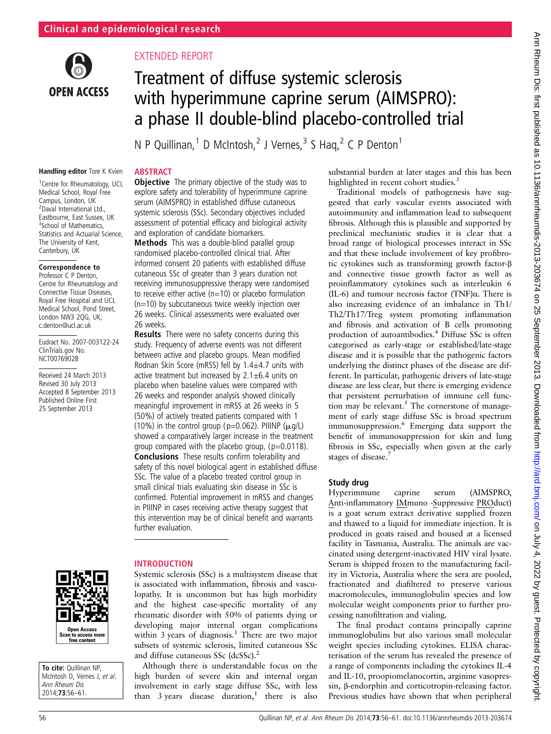

# EXTENDED REPORT

**ABSTRACT** 

26 weeks.

# Treatment of diffuse systemic sclerosis with hyperimmune caprine serum (AIMSPRO): a phase II double-blind placebo-controlled trial

N P Quillinan,<sup>1</sup> D McIntosh,<sup>2</sup> J Vernes,<sup>3</sup> S Haq,<sup>2</sup> C P Denton<sup>1</sup>

**Objective** The primary objective of the study was to explore safety and tolerability of hyperimmune caprine serum (AIMSPRO) in established diffuse cutaneous systemic sclerosis (SSc). Secondary objectives included assessment of potential efficacy and biological activity

**Results** There were no safety concerns during this study. Frequency of adverse events was not different between active and placebo groups. Mean modified Rodnan Skin Score (mRSS) fell by 1.4±4.7 units with active treatment but increased by  $2.1 \pm 6.4$  units on placebo when baseline values were compared with 26 weeks and responder analysis showed clinically meaningful improvement in mRSS at 26 weeks in 5 (50%) of actively treated patients compared with 1 (10%) in the control group (p=0.062). PIIINP  $(\mu q/L)$ showed a comparatively larger increase in the treatment group compared with the placebo group,  $(p=0.0118)$ . Conclusions These results confirm tolerability and safety of this novel biological agent in established diffuse SSc. The value of a placebo treated control group in small clinical trials evaluating skin disease in SSc is confirmed. Potential improvement in mRSS and changes in PIIINP in cases receiving active therapy suggest that this intervention may be of clinical benefit and warrants

and exploration of candidate biomarkers. Methods This was a double-blind parallel group randomised placebo-controlled clinical trial. After informed consent 20 patients with established diffuse cutaneous SSc of greater than 3 years duration not receiving immunosuppressive therapy were randomised to receive either active  $(n=10)$  or placebo formulation (n=10) by subcutaneous twice weekly injection over 26 weeks. Clinical assessments were evaluated over

#### Handling editor Tore K Kvien

1 Centre for Rheumatology, UCL Medical School, Royal Free Campus, London, UK <sup>2</sup>Daval International Ltd., Eastbourne, East Sussex, UK <sup>3</sup>School of Mathematics, Statistics and Actuarial Science, The University of Kent, Canterbury, UK

#### Correspondence to

Professor C P Denton, Centre for Rheumatology and Connective Tissue Diseases, Royal Free Hospital and UCL Medical School, Pond Street, London NW3 2QG, UK; c.denton@ucl.ac.uk

Eudract No. 2007-003122-24 ClinTrials.gov No. NCT00769028

Received 24 March 2013 Revised 30 July 2013 Accepted 8 September 2013 Published Online First 25 September 2013



#### INTRODUCTION

further evaluation.

Systemic sclerosis (SSc) is a multisystem disease that is associated with inflammation, fibrosis and vasculopathy. It is uncommon but has high morbidity and the highest case-specific mortality of any rheumatic disorder with 50% of patients dying or developing major internal organ complications within 3 years of diagnosis.<sup>1</sup> There are two major subsets of systemic sclerosis, limited cutaneous SSc and diffuse cutaneous SSc (dcSSc).<sup>2</sup>

Although there is understandable focus on the high burden of severe skin and internal organ involvement in early stage diffuse SSc, with less than  $3 \text{ years}$  disease duration,<sup>1</sup> there is also

substantial burden at later stages and this has been highlighted in recent cohort studies.<sup>3</sup>

Traditional models of pathogenesis have suggested that early vascular events associated with autoimmunity and inflammation lead to subsequent fibrosis. Although this is plausible and supported by preclinical mechanistic studies it is clear that a broad range of biological processes interact in SSc and that these include involvement of key profibrotic cytokines such as transforming growth factor-β and connective tissue growth factor as well as proinflammatory cytokines such as interleukin 6 (IL-6) and tumour necrosis factor (TNF) $\alpha$ . There is also increasing evidence of an imbalance in Th1/ Th2/Th17/Treg system promoting inflammation and fibrosis and activation of B cells promoting production of autoantibodies.<sup>4</sup> Diffuse SSc is often categorised as early-stage or established/late-stage disease and it is possible that the pathogenic factors underlying the distinct phases of the disease are different. In particular, pathogenic drivers of late-stage disease are less clear, but there is emerging evidence that persistent perturbation of immune cell function may be relevant.<sup>5</sup> The cornerstone of management of early stage diffuse SSc is broad spectrum immunosuppression.<sup>6</sup> Emerging data support the benefit of immunosuppression for skin and lung fibrosis in SSc, especially when given at the early stages of disease.<sup>7</sup>

#### Study drug

Hyperimmune caprine serum (AIMSPRO, Anti-inflammatory IMmuno -Suppressive PROduct) is a goat serum extract derivative supplied frozen and thawed to a liquid for immediate injection. It is produced in goats raised and housed at a licensed facility in Tasmania, Australia. The animals are vaccinated using detergent-inactivated HIV viral lysate. Serum is shipped frozen to the manufacturing facility in Victoria, Australia where the sera are pooled, fractionated and diafiltered to preserve various macromolecules, immunoglobulin species and low molecular weight components prior to further processing nanofiltration and vialing.

The final product contains principally caprine immunoglobulins but also various small molecular weight species including cytokines. ELISA characterisation of the serum has revealed the presence of a range of components including the cytokines IL-4 and IL-10, proopiomelanocortin, arginine vasopressin, β-endorphin and corticotropin-releasing factor. Previous studies have shown that when peripheral

Open Access Scan to access more free content

To cite: Quillinan NP. McIntosh D, Vernes J, et al.<br>Ann Rheum Dis  $2014;73:56-61.$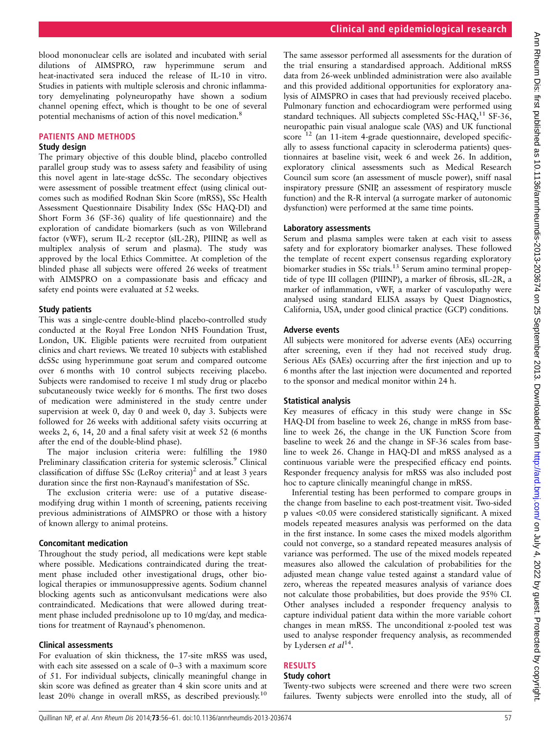blood mononuclear cells are isolated and incubated with serial dilutions of AIMSPRO, raw hyperimmune serum and heat-inactivated sera induced the release of IL-10 in vitro. Studies in patients with multiple sclerosis and chronic inflammatory demyelinating polyneuropathy have shown a sodium channel opening effect, which is thought to be one of several potential mechanisms of action of this novel medication.8

#### PATIENTS AND METHODS

#### Study design

The primary objective of this double blind, placebo controlled parallel group study was to assess safety and feasibility of using this novel agent in late-stage dcSSc. The secondary objectives were assessment of possible treatment effect (using clinical outcomes such as modified Rodnan Skin Score (mRSS), SSc Health Assessment Questionnaire Disability Index (SSc HAQ-DI) and Short Form 36 (SF-36) quality of life questionnaire) and the exploration of candidate biomarkers (such as von Willebrand factor (vWF), serum IL-2 receptor (sIL-2R), PIIINP, as well as multiplex analysis of serum and plasma). The study was approved by the local Ethics Committee. At completion of the blinded phase all subjects were offered 26 weeks of treatment with AIMSPRO on a compassionate basis and efficacy and safety end points were evaluated at 52 weeks.

#### Study patients

This was a single-centre double-blind placebo-controlled study conducted at the Royal Free London NHS Foundation Trust, London, UK. Eligible patients were recruited from outpatient clinics and chart reviews. We treated 10 subjects with established dcSSc using hyperimmune goat serum and compared outcome over 6 months with 10 control subjects receiving placebo. Subjects were randomised to receive 1 ml study drug or placebo subcutaneously twice weekly for 6 months. The first two doses of medication were administered in the study centre under supervision at week 0, day 0 and week 0, day 3. Subjects were followed for 26 weeks with additional safety visits occurring at weeks 2, 6, 14, 20 and a final safety visit at week 52 (6 months after the end of the double-blind phase).

The major inclusion criteria were: fulfilling the 1980 Preliminary classification criteria for systemic sclerosis.<sup>9</sup> Clinical classification of diffuse SSc (LeRoy criteria)<sup>2</sup> and at least 3 years duration since the first non-Raynaud's manifestation of SSc.

The exclusion criteria were: use of a putative diseasemodifying drug within 1 month of screening, patients receiving previous administrations of AIMSPRO or those with a history of known allergy to animal proteins.

#### Concomitant medication

Throughout the study period, all medications were kept stable where possible. Medications contraindicated during the treatment phase included other investigational drugs, other biological therapies or immunosuppressive agents. Sodium channel blocking agents such as anticonvulsant medications were also contraindicated. Medications that were allowed during treatment phase included prednisolone up to 10 mg/day, and medications for treatment of Raynaud's phenomenon.

#### Clinical assessments

For evaluation of skin thickness, the 17-site mRSS was used, with each site assessed on a scale of 0–3 with a maximum score of 51. For individual subjects, clinically meaningful change in skin score was defined as greater than 4 skin score units and at least 20% change in overall mRSS, as described previously.<sup>10</sup>

The same assessor performed all assessments for the duration of the trial ensuring a standardised approach. Additional mRSS data from 26-week unblinded administration were also available and this provided additional opportunities for exploratory analysis of AIMSPRO in cases that had previously received placebo. Pulmonary function and echocardiogram were performed using standard techniques. All subjects completed SSc-HAQ,<sup>11</sup> SF-36, neuropathic pain visual analogue scale (VAS) and UK functional score  $12$  (an 11-item 4-grade questionnaire, developed specifically to assess functional capacity in scleroderma patients) questionnaires at baseline visit, week 6 and week 26. In addition, exploratory clinical assessments such as Medical Research Council sum score (an assessment of muscle power), sniff nasal inspiratory pressure (SNIP, an assessment of respiratory muscle function) and the R-R interval (a surrogate marker of autonomic dysfunction) were performed at the same time points.

#### Laboratory assessments

Serum and plasma samples were taken at each visit to assess safety and for exploratory biomarker analyses. These followed the template of recent expert consensus regarding exploratory biomarker studies in SSc trials.<sup>13</sup> Serum amino terminal propeptide of type III collagen (PIIINP), a marker of fibrosis, sIL-2R, a marker of inflammation, vWF, a marker of vasculopathy were analysed using standard ELISA assays by Quest Diagnostics, California, USA, under good clinical practice (GCP) conditions.

#### Adverse events

All subjects were monitored for adverse events (AEs) occurring after screening, even if they had not received study drug. Serious AEs (SAEs) occurring after the first injection and up to 6 months after the last injection were documented and reported to the sponsor and medical monitor within 24 h.

#### Statistical analysis

Key measures of efficacy in this study were change in SSc HAQ-DI from baseline to week 26, change in mRSS from baseline to week 26, the change in the UK Function Score from baseline to week 26 and the change in SF-36 scales from baseline to week 26. Change in HAQ-DI and mRSS analysed as a continuous variable were the prespecified efficacy end points. Responder frequency analysis for mRSS was also included post hoc to capture clinically meaningful change in mRSS.

Inferential testing has been performed to compare groups in the change from baseline to each post-treatment visit. Two-sided p values <0.05 were considered statistically significant. A mixed models repeated measures analysis was performed on the data in the first instance. In some cases the mixed models algorithm could not converge, so a standard repeated measures analysis of variance was performed. The use of the mixed models repeated measures also allowed the calculation of probabilities for the adjusted mean change value tested against a standard value of zero, whereas the repeated measures analysis of variance does not calculate those probabilities, but does provide the 95% CI. Other analyses included a responder frequency analysis to capture individual patient data within the more variable cohort changes in mean mRSS. The unconditional z-pooled test was used to analyse responder frequency analysis, as recommended by Lydersen et  $al^{14}$ .

## RESULTS

# Study cohort

Twenty-two subjects were screened and there were two screen failures. Twenty subjects were enrolled into the study, all of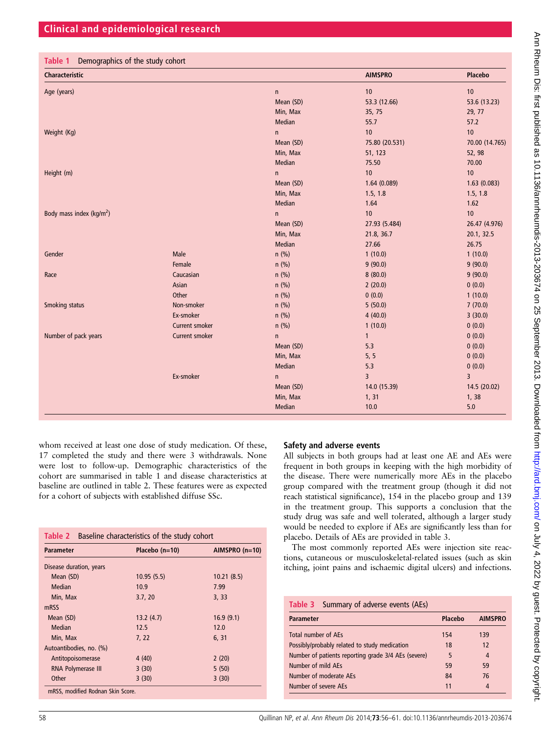| Table 1 | Demographics of the study cohort |  |
|---------|----------------------------------|--|
|---------|----------------------------------|--|

| <b>Characteristic</b>       |                       |           | <b>AIMSPRO</b> | <b>Placebo</b> |
|-----------------------------|-----------------------|-----------|----------------|----------------|
| Age (years)                 |                       | n         | 10             | 10             |
|                             |                       | Mean (SD) | 53.3 (12.66)   | 53.6 (13.23)   |
|                             |                       | Min, Max  | 35, 75         | 29, 77         |
|                             |                       | Median    | 55.7           | 57.2           |
| Weight (Kg)                 |                       | n         | 10             | 10             |
|                             |                       | Mean (SD) | 75.80 (20.531) | 70.00 (14.765) |
|                             |                       | Min, Max  | 51, 123        | 52, 98         |
|                             |                       | Median    | 75.50          | 70.00          |
| Height (m)                  |                       | n.        | 10             | 10             |
|                             |                       | Mean (SD) | 1.64(0.089)    | 1.63(0.083)    |
|                             |                       | Min, Max  | 1.5, 1.8       | 1.5, 1.8       |
|                             |                       | Median    | 1.64           | 1.62           |
| Body mass index ( $kg/m2$ ) |                       | n.        | 10             | 10             |
|                             |                       | Mean (SD) | 27.93 (5.484)  | 26.47 (4.976)  |
|                             |                       | Min, Max  | 21.8, 36.7     | 20.1, 32.5     |
|                             |                       | Median    | 27.66          | 26.75          |
| Gender                      | Male                  | $n$ (%)   | 1(10.0)        | 1(10.0)        |
|                             | Female                | $n$ (%)   | 9(90.0)        | 9(90.0)        |
| Race                        | Caucasian             | $n$ (%)   | 8(80.0)        | 9(90.0)        |
|                             | Asian                 | $n$ (%)   | 2(20.0)        | 0(0.0)         |
|                             | Other                 | $n$ (%)   | 0(0.0)         | 1(10.0)        |
| Smoking status              | Non-smoker            | $n$ (%)   | 5(50.0)        | 7(70.0)        |
|                             | Ex-smoker             | $n$ (%)   | 4(40.0)        | 3(30.0)        |
|                             | <b>Current smoker</b> | $n$ (%)   | 1(10.0)        | 0(0.0)         |
| Number of pack years        | <b>Current smoker</b> | n         | $\mathbf{1}$   | 0(0.0)         |
|                             |                       | Mean (SD) | 5.3            | 0(0.0)         |
|                             |                       | Min, Max  | 5, 5           | 0(0.0)         |
|                             |                       | Median    | 5.3            | 0(0.0)         |
|                             | Ex-smoker             | n.        | $\overline{3}$ | $\overline{3}$ |
|                             |                       | Mean (SD) | 14.0 (15.39)   | 14.5 (20.02)   |
|                             |                       | Min, Max  | 1, 31          | 1, 38          |
|                             |                       | Median    | 10.0           | 5.0            |

whom received at least one dose of study medication. Of these, 17 completed the study and there were 3 withdrawals. None were lost to follow-up. Demographic characteristics of the cohort are summarised in table 1 and disease characteristics at baseline are outlined in table 2. These features were as expected for a cohort of subjects with established diffuse SSc.

| <b>Parameter</b>        | Placebo $(n=10)$ | AIMSPRO (n=10) |
|-------------------------|------------------|----------------|
| Disease duration, years |                  |                |
| Mean (SD)               | 10.95(5.5)       | 10.21(8.5)     |
| Median                  | 10.9             | 7.99           |
| Min, Max                | 3.7, 20          | 3, 33          |
| mRSS                    |                  |                |
| Mean (SD)               | 13.2(4.7)        | 16.9(9.1)      |
| Median                  | 12.5             | 12.0           |
| Min, Max                | 7, 22            | 6, 31          |
| Autoantibodies, no. (%) |                  |                |
| Antitopoisomerase       | 4(40)            | 2(20)          |
| RNA Polymerase III      | 3(30)            | 5(50)          |
| Other                   | 3(30)            | 3(30)          |

### Safety and adverse events

All subjects in both groups had at least one AE and AEs were frequent in both groups in keeping with the high morbidity of the disease. There were numerically more AEs in the placebo group compared with the treatment group (though it did not reach statistical significance), 154 in the placebo group and 139 in the treatment group. This supports a conclusion that the study drug was safe and well tolerated, although a larger study would be needed to explore if AEs are significantly less than for placebo. Details of AEs are provided in table 3.

The most commonly reported AEs were injection site reactions, cutaneous or musculoskeletal-related issues (such as skin itching, joint pains and ischaemic digital ulcers) and infections.

| Table 3 Summary of adverse events (AEs)             |         |                |
|-----------------------------------------------------|---------|----------------|
| <b>Parameter</b>                                    | Placebo | <b>AIMSPRO</b> |
| Total number of AFs                                 | 154     | 139            |
| Possibly/probably related to study medication       | 18      | 12             |
| Number of patients reporting grade 3/4 AEs (severe) | 5       | 4              |
| Number of mild AEs                                  | 59      | 59             |
| Number of moderate AFs                              | 84      | 76             |
| Number of severe AFs                                | 11      | 4              |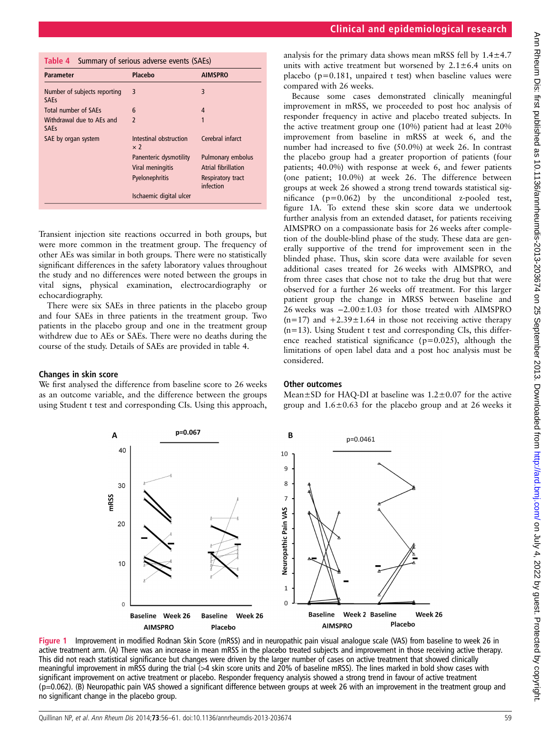| Table 4 Summary of serious adverse events (SAEs) |  |
|--------------------------------------------------|--|
|                                                  |  |

| <b>Parameter</b>                            | Placebo                              | <b>AIMSPRO</b>                 |
|---------------------------------------------|--------------------------------------|--------------------------------|
| Number of subjects reporting<br><b>SAEs</b> | 3                                    | 3                              |
| Total number of SAEs                        | 6                                    | 4                              |
| Withdrawal due to AEs and<br><b>SAEs</b>    | $\overline{\phantom{0}}$             | 1                              |
| SAE by organ system                         | Intestinal obstruction<br>$\times 2$ | Cerebral infarct               |
|                                             | Panenteric dysmotility               | Pulmonary embolus              |
|                                             | Viral meningitis                     | <b>Atrial fibrillation</b>     |
|                                             | Pyelonephritis                       | Respiratory tract<br>infection |
|                                             | Ischaemic digital ulcer              |                                |

Transient injection site reactions occurred in both groups, but were more common in the treatment group. The frequency of other AEs was similar in both groups. There were no statistically significant differences in the safety laboratory values throughout the study and no differences were noted between the groups in vital signs, physical examination, electrocardiography or echocardiography.

There were six SAEs in three patients in the placebo group and four SAEs in three patients in the treatment group. Two patients in the placebo group and one in the treatment group withdrew due to AEs or SAEs. There were no deaths during the course of the study. Details of SAEs are provided in table 4.

#### Changes in skin score

We first analysed the difference from baseline score to 26 weeks as an outcome variable, and the difference between the groups using Student t test and corresponding CIs. Using this approach,

analysis for the primary data shows mean mRSS fell by  $1.4 \pm 4.7$ units with active treatment but worsened by  $2.1 \pm 6.4$  units on placebo ( $p=0.181$ , unpaired t test) when baseline values were compared with 26 weeks.

Because some cases demonstrated clinically meaningful improvement in mRSS, we proceeded to post hoc analysis of responder frequency in active and placebo treated subjects. In the active treatment group one (10%) patient had at least 20% improvement from baseline in mRSS at week 6, and the number had increased to five (50.0%) at week 26. In contrast the placebo group had a greater proportion of patients (four patients; 40.0%) with response at week 6, and fewer patients (one patient; 10.0%) at week 26. The difference between groups at week 26 showed a strong trend towards statistical significance  $(p=0.062)$  by the unconditional z-pooled test, figure 1A. To extend these skin score data we undertook further analysis from an extended dataset, for patients receiving AIMSPRO on a compassionate basis for 26 weeks after completion of the double-blind phase of the study. These data are generally supportive of the trend for improvement seen in the blinded phase. Thus, skin score data were available for seven additional cases treated for 26 weeks with AIMSPRO, and from three cases that chose not to take the drug but that were observed for a further 26 weeks off treatment. For this larger patient group the change in MRSS between baseline and 26 weeks was −2.00±1.03 for those treated with AIMSPRO  $(n=17)$  and  $+2.39\pm1.64$  in those not receiving active therapy  $(n=13)$ . Using Student t test and corresponding CIs, this difference reached statistical significance ( $p=0.025$ ), although the limitations of open label data and a post hoc analysis must be considered.

#### Other outcomes

Mean $\pm$ SD for HAQ-DI at baseline was 1.2 $\pm$ 0.07 for the active group and  $1.6 \pm 0.63$  for the placebo group and at 26 weeks it



Figure 1 Improvement in modified Rodnan Skin Score (mRSS) and in neuropathic pain visual analogue scale (VAS) from baseline to week 26 in active treatment arm. (A) There was an increase in mean mRSS in the placebo treated subjects and improvement in those receiving active therapy. This did not reach statistical significance but changes were driven by the larger number of cases on active treatment that showed clinically meaningful improvement in mRSS during the trial (>4 skin score units and 20% of baseline mRSS). The lines marked in bold show cases with significant improvement on active treatment or placebo. Responder frequency analysis showed a strong trend in favour of active treatment (p=0.062). (B) Neuropathic pain VAS showed a significant difference between groups at week 26 with an improvement in the treatment group and no significant change in the placebo group.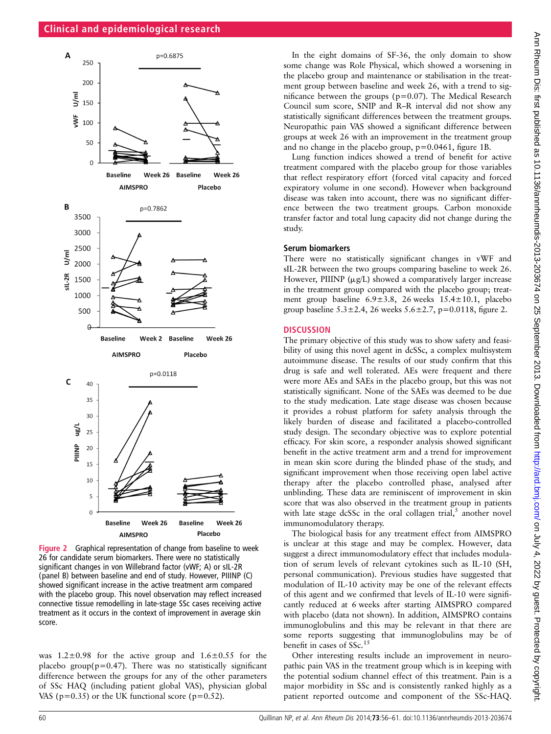

Figure 2 Graphical representation of change from baseline to week 26 for candidate serum biomarkers. There were no statistically significant changes in von Willebrand factor (vWF; A) or sIL-2R (panel B) between baseline and end of study. However, PIIINP (C) showed significant increase in the active treatment arm compared with the placebo group. This novel observation may reflect increased connective tissue remodelling in late-stage SSc cases receiving active treatment as it occurs in the context of improvement in average skin score.

was  $1.2 \pm 0.98$  for the active group and  $1.6 \pm 0.55$  for the placebo group( $p=0.47$ ). There was no statistically significant difference between the groups for any of the other parameters of SSc HAQ (including patient global VAS), physician global VAS ( $p=0.35$ ) or the UK functional score ( $p=0.52$ ).

In the eight domains of SF-36, the only domain to show some change was Role Physical, which showed a worsening in the placebo group and maintenance or stabilisation in the treatment group between baseline and week 26, with a trend to significance between the groups (p=0.07). The Medical Research Council sum score, SNIP and R–R interval did not show any statistically significant differences between the treatment groups. Neuropathic pain VAS showed a significant difference between groups at week 26 with an improvement in the treatment group and no change in the placebo group,  $p=0.0461$ , figure 1B.

Lung function indices showed a trend of benefit for active treatment compared with the placebo group for those variables that reflect respiratory effort (forced vital capacity and forced expiratory volume in one second). However when background disease was taken into account, there was no significant difference between the two treatment groups. Carbon monoxide transfer factor and total lung capacity did not change during the study.

#### Serum biomarkers

There were no statistically significant changes in vWF and sIL-2R between the two groups comparing baseline to week 26. However, PIIINP  $(\mu g/L)$  showed a comparatively larger increase in the treatment group compared with the placebo group; treatment group baseline  $6.9 \pm 3.8$ , 26 weeks  $15.4 \pm 10.1$ , placebo group baseline  $5.3 \pm 2.4$ , 26 weeks  $5.6 \pm 2.7$ , p=0.0118, figure 2.

#### **DISCUSSION**

The primary objective of this study was to show safety and feasibility of using this novel agent in dcSSc, a complex multisystem autoimmune disease. The results of our study confirm that this drug is safe and well tolerated. AEs were frequent and there were more AEs and SAEs in the placebo group, but this was not statistically significant. None of the SAEs was deemed to be due to the study medication. Late stage disease was chosen because it provides a robust platform for safety analysis through the likely burden of disease and facilitated a placebo-controlled study design. The secondary objective was to explore potential efficacy. For skin score, a responder analysis showed significant benefit in the active treatment arm and a trend for improvement in mean skin score during the blinded phase of the study, and significant improvement when those receiving open label active therapy after the placebo controlled phase, analysed after unblinding. These data are reminiscent of improvement in skin score that was also observed in the treatment group in patients with late stage dcSSc in the oral collagen trial, $5$  another novel immunomodulatory therapy.

The biological basis for any treatment effect from AIMSPRO is unclear at this stage and may be complex. However, data suggest a direct immunomodulatory effect that includes modulation of serum levels of relevant cytokines such as IL-10 (SH, personal communication). Previous studies have suggested that modulation of IL-10 activity may be one of the relevant effects of this agent and we confirmed that levels of IL-10 were significantly reduced at 6 weeks after starting AIMSPRO compared with placebo (data not shown). In addition, AIMSPRO contains immunoglobulins and this may be relevant in that there are some reports suggesting that immunoglobulins may be of benefit in cases of SSc.<sup>15</sup>

Other interesting results include an improvement in neuropathic pain VAS in the treatment group which is in keeping with the potential sodium channel effect of this treatment. Pain is a major morbidity in SSc and is consistently ranked highly as a patient reported outcome and component of the SSc-HAQ.